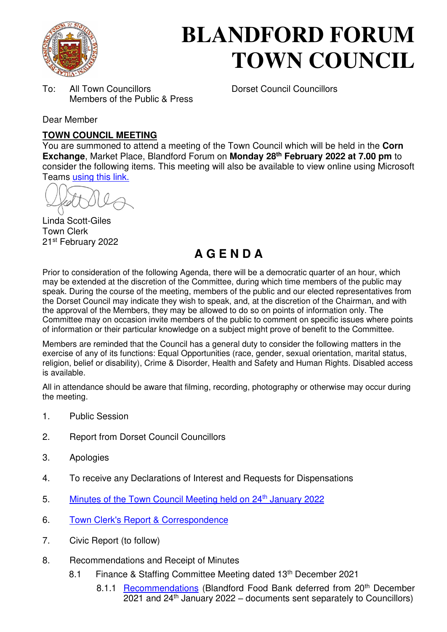

# **BLANDFORD FORUM TOWN COUNCIL**

To: All Town Councillors Dorset Council Councillors Members of the Public & Press

Dear Member

# **TOWN COUNCIL MEETING**

You are summoned to attend a meeting of the Town Council which will be held in the **Corn Exchange**, Market Place, Blandford Forum on **Monday 28th February 2022 at 7.00 pm** to consider the following items. This meeting will also be available to view online using Microsoft Teams [using this link.](https://teams.microsoft.com/l/meetup-join/19%3a2cb1b1f9de074efdad40308940ab9ba0%40thread.tacv2/1637586404349?context=%7b%22Tid%22%3a%223cd8f2fb-4c45-4162-86f1-fb87b5f6a138%22%2c%22Oid%22%3a%2265e5950c-ab1c-41cc-9090-4a755c733f54%22%7d) 

Linda Scott-Giles Town Clerk 21st February 2022

# **A G E N D A**

Prior to consideration of the following Agenda, there will be a democratic quarter of an hour, which may be extended at the discretion of the Committee, during which time members of the public may speak. During the course of the meeting, members of the public and our elected representatives from the Dorset Council may indicate they wish to speak, and, at the discretion of the Chairman, and with the approval of the Members, they may be allowed to do so on points of information only. The Committee may on occasion invite members of the public to comment on specific issues where points of information or their particular knowledge on a subject might prove of benefit to the Committee.

Members are reminded that the Council has a general duty to consider the following matters in the exercise of any of its functions: Equal Opportunities (race, gender, sexual orientation, marital status, religion, belief or disability), Crime & Disorder, Health and Safety and Human Rights. Disabled access is available.

All in attendance should be aware that filming, recording, photography or otherwise may occur during the meeting.

- 1. Public Session
- 2. Report from Dorset Council Councillors
- 3. Apologies
- 4. To receive any Declarations of Interest and Requests for Dispensations
- 5. [Minutes of the Town Council Meeting held on 24](https://blandfordforum-tc.gov.uk/wp-content/uploads/2022/01/240122.pdf)<sup>th</sup> January 2022
- 6. [Town Clerk's Report & Correspondence](#page-2-0)
- 7. Civic Report (to follow)
- 8. Recommendations and Receipt of Minutes
	- 8.1 Finance & Staffing Committee Meeting dated 13<sup>th</sup> December 2021
		- 8.1.1 [Recommendations](#page-3-0) (Blandford Food Bank deferred from 20<sup>th</sup> December  $2021$  and  $24<sup>th</sup>$  January 2022 – documents sent separately to Councillors)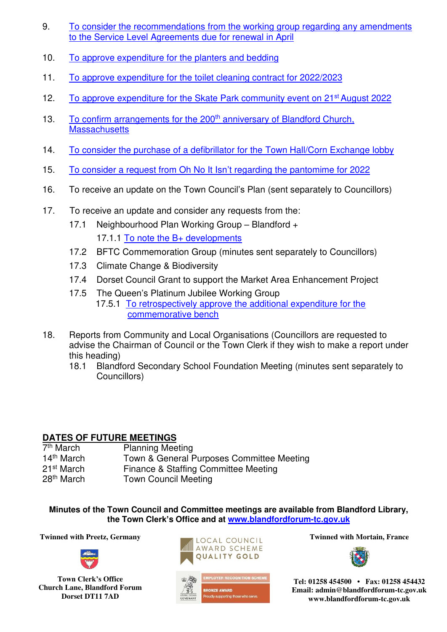- 9. [To consider the recommendations from the working group regarding any amendments](#page-12-0)  [to the Service Level Agreements due for renewal in April](#page-12-0)
- 10. [To approve expenditure for the planters and bedding](#page-8-0)
- 11. [To approve expenditure for the toilet cleaning contract for 2022/2023](#page-9-0)
- 12. [To approve expenditure for the Skate Park community event on](#page-10-0) 21<sup>st</sup> August 2022
- 13. [To confirm arrangements for the 200](#page-11-0)<sup>th</sup> anniversary of Blandford Church, **Massachusetts**
- 14. [To consider the purchase of a defibrillator for the Town Hall/Corn Exchange lobby](#page-12-0)
- 15. [To consider a request from Oh No It Isn](#page-14-0)'t regarding the pantomime for 2022
- 16. To receive an update on the Town Council's Plan (sent separately to Councillors)
- 17. To receive an update and consider any requests from the:
	- 17.1 Neighbourhood Plan Working Group Blandford + 17.1.1 [To note the B+ developments](#page-15-0)
	- 17.2 BFTC Commemoration Group (minutes sent separately to Councillors)
	- 17.3 Climate Change & Biodiversity
	- 17.4 Dorset Council Grant to support the Market Area Enhancement Project
	- 17.5 The Queen's Platinum Jubilee Working Group 17.5.1 [To retrospectively approve the additional expenditure for the](#page-17-0)  [commemorative bench](#page-17-0)
- 18. Reports from Community and Local Organisations (Councillors are requested to advise the Chairman of Council or the Town Clerk if they wish to make a report under this heading)
	- 18.1 Blandford Secondary School Foundation Meeting (minutes sent separately to Councillors)

# **DATES OF FUTURE MEETINGS**

| 7 <sup>th</sup> March  | <b>Planning Meeting</b>                   |
|------------------------|-------------------------------------------|
| $14th$ March           | Town & General Purposes Committee Meeting |
| 21 <sup>st</sup> March | Finance & Staffing Committee Meeting      |
| 28 <sup>th</sup> March | <b>Town Council Meeting</b>               |

**Minutes of the Town Council and Committee meetings are available from Blandford Library, the Town Clerk's Office and at [www.blandfordforum-tc.gov.uk](http://www.blandfordforum-tc.gov.uk/)**

**Twinned with Preetz, Germany Twinned with Mortain, France** 



**Town Clerk's Office Church Lane, Blandford Forum Dorset DT11 7AD** 







**Tel: 01258 454500 • Fax: 01258 454432 Email: admin@blandfordforum-tc.gov.uk www.blandfordforum-tc.gov.uk**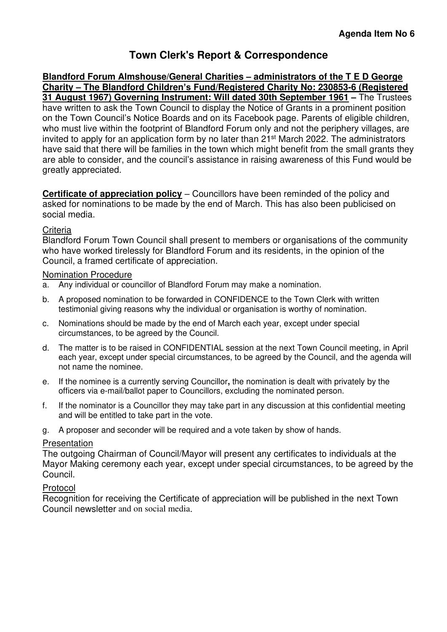# **Town Clerk's Report & Correspondence**

<span id="page-2-0"></span>**Blandford Forum Almshouse/General Charities – administrators of the T E D George Charity – The Blandford Children's Fund/Registered Charity No: 230853-6 (Registered 31 August 1967) Governing Instrument: Will dated 30th September 1961 –** The Trustees have written to ask the Town Council to display the Notice of Grants in a prominent position on the Town Council's Notice Boards and on its Facebook page. Parents of eligible children, who must live within the footprint of Blandford Forum only and not the periphery villages, are invited to apply for an application form by no later than 21st March 2022. The administrators have said that there will be families in the town which might benefit from the small grants they are able to consider, and the council's assistance in raising awareness of this Fund would be greatly appreciated.

**Certificate of appreciation policy** – Councillors have been reminded of the policy and asked for nominations to be made by the end of March. This has also been publicised on social media.

#### **Criteria**

Blandford Forum Town Council shall present to members or organisations of the community who have worked tirelessly for Blandford Forum and its residents, in the opinion of the Council, a framed certificate of appreciation.

#### Nomination Procedure

- a. Any individual or councillor of Blandford Forum may make a nomination.
- b. A proposed nomination to be forwarded in CONFIDENCE to the Town Clerk with written testimonial giving reasons why the individual or organisation is worthy of nomination.
- c. Nominations should be made by the end of March each year, except under special circumstances, to be agreed by the Council.
- d. The matter is to be raised in CONFIDENTIAL session at the next Town Council meeting, in April each year, except under special circumstances, to be agreed by the Council, and the agenda will not name the nominee.
- e. If the nominee is a currently serving Councillor**,** the nomination is dealt with privately by the officers via e-mail/ballot paper to Councillors, excluding the nominated person.
- f. If the nominator is a Councillor they may take part in any discussion at this confidential meeting and will be entitled to take part in the vote.
- g. A proposer and seconder will be required and a vote taken by show of hands.

#### Presentation

The outgoing Chairman of Council/Mayor will present any certificates to individuals at the Mayor Making ceremony each year, except under special circumstances, to be agreed by the Council.

#### Protocol

Recognition for receiving the Certificate of appreciation will be published in the next Town Council newsletter and on social media.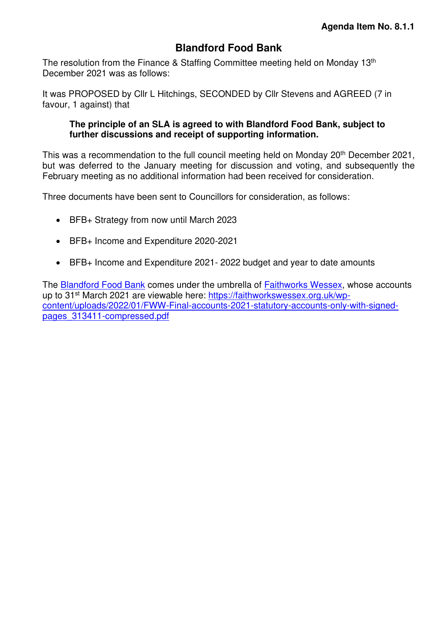# **Blandford Food Bank**

<span id="page-3-0"></span>The resolution from the Finance & Staffing Committee meeting held on Monday 13<sup>th</sup> December 2021 was as follows:

It was PROPOSED by Cllr L Hitchings, SECONDED by Cllr Stevens and AGREED (7 in favour, 1 against) that

#### **The principle of an SLA is agreed to with Blandford Food Bank, subject to further discussions and receipt of supporting information.**

This was a recommendation to the full council meeting held on Monday 20<sup>th</sup> December 2021, but was deferred to the January meeting for discussion and voting, and subsequently the February meeting as no additional information had been received for consideration.

Three documents have been sent to Councillors for consideration, as follows:

- BFB+ Strategy from now until March 2023
- BFB+ Income and Expenditure 2020-2021
- BFB+ Income and Expenditure 2021- 2022 budget and year to date amounts

The [Blandford Food Bank](https://faithworkswessex.org.uk/projects/foodbank/blandford/) comes under the umbrella of [Faithworks Wessex,](https://faithworkswessex.org.uk/) whose accounts up to 31<sup>st</sup> March 2021 are viewable here: [https://faithworkswessex.org.uk/wp](https://faithworkswessex.org.uk/wp-content/uploads/2022/01/FWW-Final-accounts-2021-statutory-accounts-only-with-signed-pages_313411-compressed.pdf)[content/uploads/2022/01/FWW-Final-accounts-2021-statutory-accounts-only-with-signed](https://faithworkswessex.org.uk/wp-content/uploads/2022/01/FWW-Final-accounts-2021-statutory-accounts-only-with-signed-pages_313411-compressed.pdf)[pages\\_313411-compressed.pdf](https://faithworkswessex.org.uk/wp-content/uploads/2022/01/FWW-Final-accounts-2021-statutory-accounts-only-with-signed-pages_313411-compressed.pdf)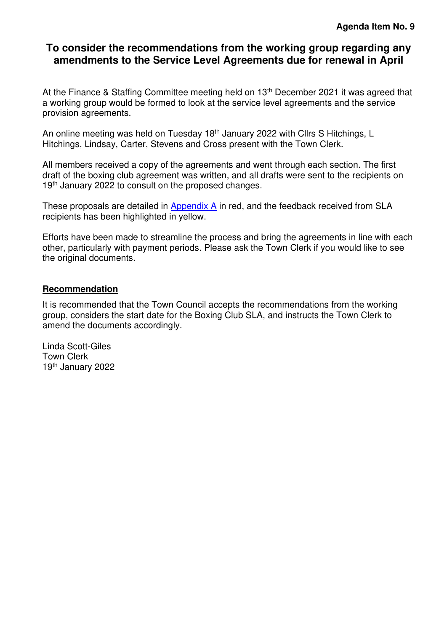# **[To consider the recommendations from the working group regarding any](#page-12-0)  [amendments to the Service Level Agreements due for renewal in April](#page-12-0)**

At the Finance & Staffing Committee meeting held on 13<sup>th</sup> December 2021 it was agreed that a working group would be formed to look at the service level agreements and the service provision agreements.

An online meeting was held on Tuesday 18<sup>th</sup> January 2022 with Cllrs S Hitchings, L Hitchings, Lindsay, Carter, Stevens and Cross present with the Town Clerk.

All members received a copy of the agreements and went through each section. The first draft of the boxing club agreement was written, and all drafts were sent to the recipients on 19<sup>th</sup> January 2022 to consult on the proposed changes.

These proposals are detailed in [Appendix A](#page-5-0) in red, and the feedback received from SLA recipients has been highlighted in yellow.

Efforts have been made to streamline the process and bring the agreements in line with each other, particularly with payment periods. Please ask the Town Clerk if you would like to see the original documents.

#### **Recommendation**

It is recommended that the Town Council accepts the recommendations from the working group, considers the start date for the Boxing Club SLA, and instructs the Town Clerk to amend the documents accordingly.

Linda Scott-Giles Town Clerk 19th January 2022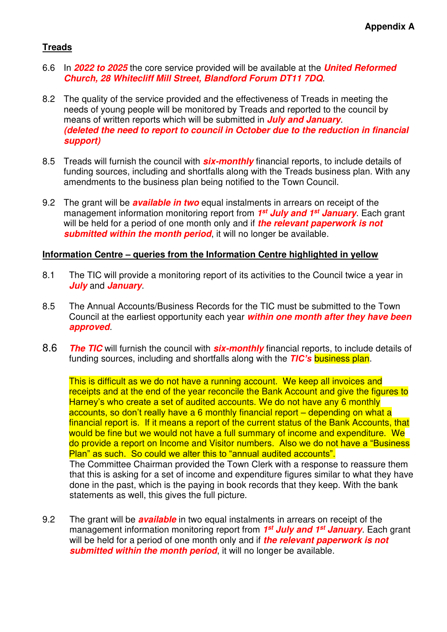#### <span id="page-5-0"></span>**Treads**

- 6.6 In **2022 to 2025** the core service provided will be available at the **United Reformed Church, 28 Whitecliff Mill Street, Blandford Forum DT11 7DQ**.
- 8.2 The quality of the service provided and the effectiveness of Treads in meeting the needs of young people will be monitored by Treads and reported to the council by means of written reports which will be submitted in **July and January**. **(deleted the need to report to council in October due to the reduction in financial support)**
- 8.5 Treads will furnish the council with **six-monthly** financial reports, to include details of funding sources, including and shortfalls along with the Treads business plan. With any amendments to the business plan being notified to the Town Council.
- 9.2 The grant will be **available in two** equal instalments in arrears on receipt of the management information monitoring report from **1 st July and 1st January**. Each grant will be held for a period of one month only and if **the relevant paperwork is not submitted within the month period**, it will no longer be available.

#### **Information Centre – queries from the Information Centre highlighted in yellow**

- 8.1 The TIC will provide a monitoring report of its activities to the Council twice a year in **July** and **January**.
- 8.5 The Annual Accounts/Business Records for the TIC must be submitted to the Town Council at the earliest opportunity each year **within one month after they have been approved**.
- 8.6 **The TIC** will furnish the council with **six-monthly** financial reports, to include details of funding sources, including and shortfalls along with the *TIC's* business plan.

This is difficult as we do not have a running account. We keep all invoices and receipts and at the end of the year reconcile the Bank Account and give the figures to Harney's who create a set of audited accounts. We do not have any 6 monthly accounts, so don't really have a 6 monthly financial report – depending on what a financial report is. If it means a report of the current status of the Bank Accounts, that would be fine but we would not have a full summary of income and expenditure. We do provide a report on Income and Visitor numbers. Also we do not have a "Business Plan" as such. So could we alter this to "annual audited accounts". The Committee Chairman provided the Town Clerk with a response to reassure them

that this is asking for a set of income and expenditure figures similar to what they have done in the past, which is the paying in book records that they keep. With the bank statements as well, this gives the full picture.

9.2 The grant will be **available** in two equal instalments in arrears on receipt of the management information monitoring report from **1 st July and 1st January**. Each grant will be held for a period of one month only and if **the relevant paperwork is not submitted within the month period**, it will no longer be available.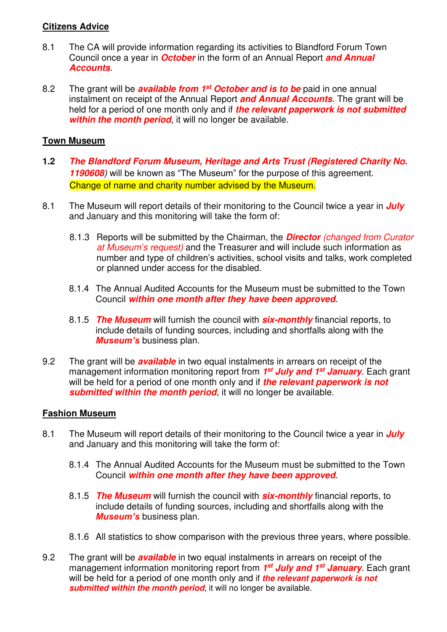#### **Citizens Advice**

- 8.1 The CA will provide information regarding its activities to Blandford Forum Town Council once a year in **October** in the form of an Annual Report **and Annual Accounts**.
- 8.2 The grant will be **available from 1st October and is to be** paid in one annual instalment on receipt of the Annual Report **and Annual Accounts**. The grant will be held for a period of one month only and if **the relevant paperwork is not submitted within the month period**, it will no longer be available.

#### **Town Museum**

- **1.2 The Blandford Forum Museum, Heritage and Arts Trust (Registered Charity No. 1190608**) will be known as "The Museum" for the purpose of this agreement. Change of name and charity number advised by the Museum.
- 8.1 The Museum will report details of their monitoring to the Council twice a year in **July**  and January and this monitoring will take the form of:
	- 8.1.3 Reports will be submitted by the Chairman, the **Director** (changed from Curator at Museum*'*s request) and the Treasurer and will include such information as number and type of children's activities, school visits and talks, work completed or planned under access for the disabled.
	- 8.1.4 The Annual Audited Accounts for the Museum must be submitted to the Town Council **within one month after they have been approved**.
	- 8.1.5 **The Museum** will furnish the council with **six-monthly** financial reports, to include details of funding sources, including and shortfalls along with the *Museum's* business plan.
- 9.2 The grant will be **available** in two equal instalments in arrears on receipt of the management information monitoring report from **1 st July and 1st January**. Each grant will be held for a period of one month only and if **the relevant paperwork is not submitted within the month period**, it will no longer be available.

#### **Fashion Museum**

- 8.1 The Museum will report details of their monitoring to the Council twice a year in **July** and January and this monitoring will take the form of:
	- 8.1.4 The Annual Audited Accounts for the Museum must be submitted to the Town Council **within one month after they have been approved**.
	- 8.1.5 **The Museum** will furnish the council with **six-monthly** financial reports, to include details of funding sources, including and shortfalls along with the *Museum's* business plan.
	- 8.1.6 All statistics to show comparison with the previous three years, where possible.
- 9.2 The grant will be **available** in two equal instalments in arrears on receipt of the management information monitoring report from **1 st July and 1st January**. Each grant will be held for a period of one month only and if **the relevant paperwork is not submitted within the month period**, it will no longer be available.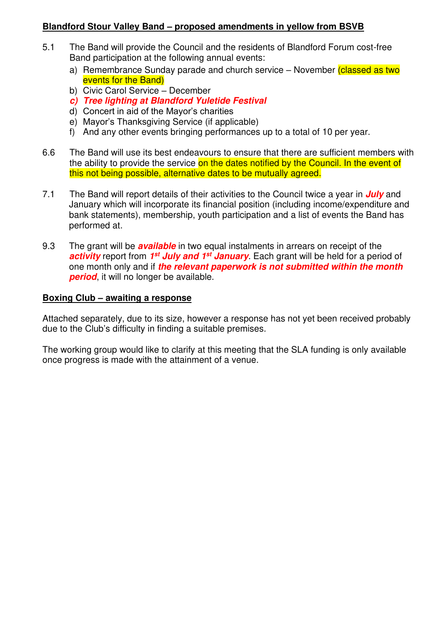#### **Blandford Stour Valley Band – proposed amendments in yellow from BSVB**

- 5.1 The Band will provide the Council and the residents of Blandford Forum cost-free Band participation at the following annual events:
	- a) Remembrance Sunday parade and church service November (classed as two events for the Band)
	- b) Civic Carol Service December
	- **c) Tree lighting at Blandford Yuletide Festival**
	- d) Concert in aid of the Mayor's charities
	- e) Mayor's Thanksgiving Service (if applicable)
	- f) And any other events bringing performances up to a total of 10 per year.
- 6.6 The Band will use its best endeavours to ensure that there are sufficient members with the ability to provide the service on the dates notified by the Council. In the event of this not being possible, alternative dates to be mutually agreed.
- 7.1 The Band will report details of their activities to the Council twice a year in **July** and January which will incorporate its financial position (including income/expenditure and bank statements), membership, youth participation and a list of events the Band has performed at.
- 9.3 The grant will be **available** in two equal instalments in arrears on receipt of the **activity** report from 1<sup>st</sup> July and 1<sup>st</sup> January. Each grant will be held for a period of one month only and if **the relevant paperwork is not submitted within the month period**, it will no longer be available.

#### **Boxing Club – awaiting a response**

Attached separately, due to its size, however a response has not yet been received probably due to the Club's difficulty in finding a suitable premises.

The working group would like to clarify at this meeting that the SLA funding is only available once progress is made with the attainment of a venue.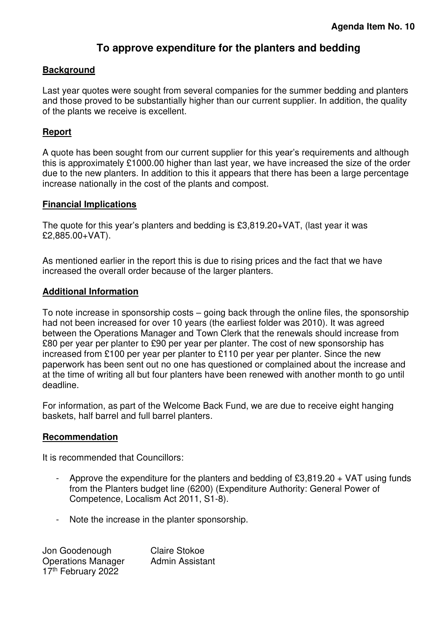# **To approve expenditure for the planters and bedding**

#### <span id="page-8-0"></span>**Background**

Last year quotes were sought from several companies for the summer bedding and planters and those proved to be substantially higher than our current supplier. In addition, the quality of the plants we receive is excellent.

#### **Report**

A quote has been sought from our current supplier for this year's requirements and although this is approximately £1000.00 higher than last year, we have increased the size of the order due to the new planters. In addition to this it appears that there has been a large percentage increase nationally in the cost of the plants and compost.

#### **Financial Implications**

The quote for this year's planters and bedding is £3,819.20+VAT, (last year it was £2,885.00+VAT).

As mentioned earlier in the report this is due to rising prices and the fact that we have increased the overall order because of the larger planters.

#### **Additional Information**

To note increase in sponsorship costs – going back through the online files, the sponsorship had not been increased for over 10 years (the earliest folder was 2010). It was agreed between the Operations Manager and Town Clerk that the renewals should increase from £80 per year per planter to £90 per year per planter. The cost of new sponsorship has increased from £100 per year per planter to £110 per year per planter. Since the new paperwork has been sent out no one has questioned or complained about the increase and at the time of writing all but four planters have been renewed with another month to go until deadline.

For information, as part of the Welcome Back Fund, we are due to receive eight hanging baskets, half barrel and full barrel planters.

#### **Recommendation**

It is recommended that Councillors:

- Approve the expenditure for the planters and bedding of  $£3,819.20 + VAT$  using funds from the Planters budget line (6200) (Expenditure Authority: General Power of Competence, Localism Act 2011, S1-8).
- Note the increase in the planter sponsorship.

Jon Goodenough Claire Stokoe Operations Manager Admin Assistant 17<sup>th</sup> February 2022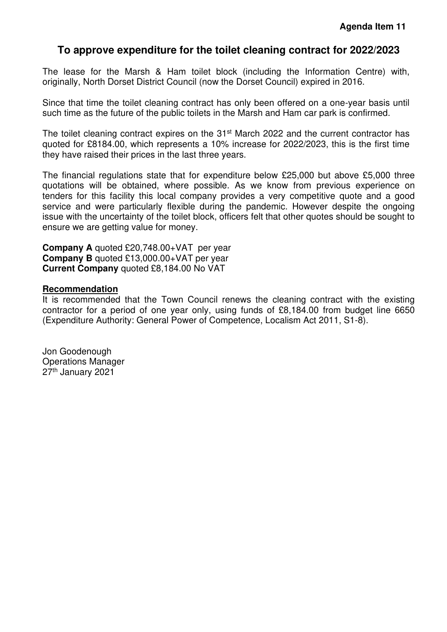# <span id="page-9-0"></span>**To approve expenditure for the toilet cleaning contract for 2022/2023**

The lease for the Marsh & Ham toilet block (including the Information Centre) with, originally, North Dorset District Council (now the Dorset Council) expired in 2016.

Since that time the toilet cleaning contract has only been offered on a one-year basis until such time as the future of the public toilets in the Marsh and Ham car park is confirmed.

The toilet cleaning contract expires on the 31<sup>st</sup> March 2022 and the current contractor has quoted for £8184.00, which represents a 10% increase for 2022/2023, this is the first time they have raised their prices in the last three years.

The financial regulations state that for expenditure below £25,000 but above £5,000 three quotations will be obtained, where possible. As we know from previous experience on tenders for this facility this local company provides a very competitive quote and a good service and were particularly flexible during the pandemic. However despite the ongoing issue with the uncertainty of the toilet block, officers felt that other quotes should be sought to ensure we are getting value for money.

**Company A** quoted £20,748.00+VAT per year **Company B** quoted £13,000.00+VAT per year **Current Company** quoted £8,184.00 No VAT

#### **Recommendation**

It is recommended that the Town Council renews the cleaning contract with the existing contractor for a period of one year only, using funds of £8,184.00 from budget line 6650 (Expenditure Authority: General Power of Competence, Localism Act 2011, S1-8).

Jon Goodenough Operations Manager 27th January 2021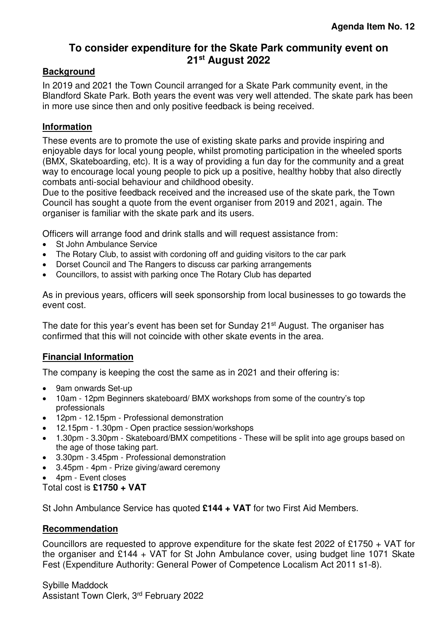# **To consider expenditure for the Skate Park community event on 21st August 2022**

#### <span id="page-10-0"></span>**Background**

In 2019 and 2021 the Town Council arranged for a Skate Park community event, in the Blandford Skate Park. Both years the event was very well attended. The skate park has been in more use since then and only positive feedback is being received.

#### **Information**

These events are to promote the use of existing skate parks and provide inspiring and enjoyable days for local young people, whilst promoting participation in the wheeled sports (BMX, Skateboarding, etc). It is a way of providing a fun day for the community and a great way to encourage local young people to pick up a positive, healthy hobby that also directly combats anti-social behaviour and childhood obesity.

Due to the positive feedback received and the increased use of the skate park, the Town Council has sought a quote from the event organiser from 2019 and 2021, again. The organiser is familiar with the skate park and its users.

Officers will arrange food and drink stalls and will request assistance from:

- St John Ambulance Service
- The Rotary Club, to assist with cordoning off and guiding visitors to the car park
- Dorset Council and The Rangers to discuss car parking arrangements
- Councillors, to assist with parking once The Rotary Club has departed

As in previous years, officers will seek sponsorship from local businesses to go towards the event cost.

The date for this year's event has been set for Sunday 21<sup>st</sup> August. The organiser has confirmed that this will not coincide with other skate events in the area.

#### **Financial Information**

The company is keeping the cost the same as in 2021 and their offering is:

- 9am onwards Set-up
- 10am 12pm Beginners skateboard/ BMX workshops from some of the country's top professionals
- 12pm 12.15pm Professional demonstration
- 12.15pm 1.30pm Open practice session/workshops
- 1.30pm 3.30pm Skateboard/BMX competitions These will be split into age groups based on the age of those taking part.
- 3.30pm 3.45pm Professional demonstration
- 3.45pm 4pm Prize giving/award ceremony
- 4pm Event closes

Total cost is **£1750 + VAT** 

St John Ambulance Service has quoted **£144 + VAT** for two First Aid Members.

#### **Recommendation**

Councillors are requested to approve expenditure for the skate fest 2022 of £1750 + VAT for the organiser and £144 + VAT for St John Ambulance cover, using budget line 1071 Skate Fest (Expenditure Authority: General Power of Competence Localism Act 2011 s1-8).

Sybille Maddock Assistant Town Clerk, 3<sup>rd</sup> February 2022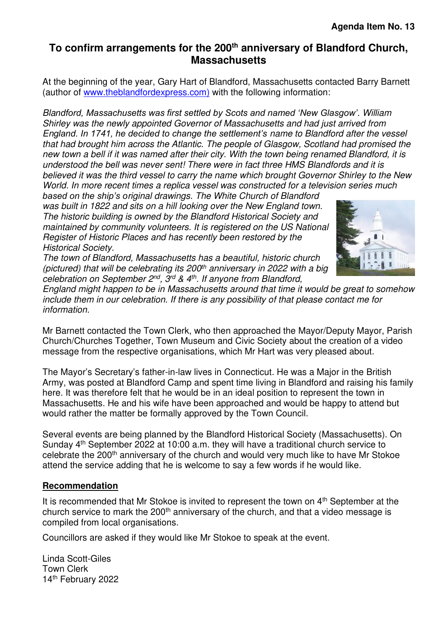# <span id="page-11-0"></span>**To confirm arrangements for the 200th anniversary of Blandford Church, Massachusetts**

At the beginning of the year, Gary Hart of Blandford, Massachusetts contacted Barry Barnett (author of [www.theblandfordexpress.com\)](http://www.theblandfordexpress.com)w/) with the following information:

Bla*ndford, Massachusetts was first settled by Scots and named 'New Glasgow'*. William Shirley was the newly appointed Governor of Massachusetts and had just arrived from En*gland. In 1741, he decided to change the settlement's* name to Blandford after the vessel that had brought him across the Atlantic. The people of Glasgow, Scotland had promised the new town a bell if it was named after their city. With the town being renamed Blandford, it is understood the bell was never sent! There were in fact three HMS Blandfords and it is believed it was the third vessel to carry the name which brought Governor Shirley to the New World. In more recent times a replica vessel was constructed for a television series much

*based on the ship's o*riginal drawings. The White Church of Blandford was built in 1822 and sits on a hill looking over the New England town. The historic building is owned by the Blandford Historical Society and maintained by community volunteers. It is registered on the US National Register of Historic Places and has recently been restored by the Historical Society.

The town of Blandford, Massachusetts has a beautiful, historic church (pictured) that will be celebrating its  $200<sup>th</sup>$  anniversary in 2022 with a big celebration on September  $2^{nd}$ ,  $3^{rd}$  &  $4^{th}$ . If anyone from Blandford,



England might happen to be in Massachusetts around that time it would be great to somehow include them in our celebration. If there is any possibility of that please contact me for information.

Mr Barnett contacted the Town Clerk, who then approached the Mayor/Deputy Mayor, Parish Church/Churches Together, Town Museum and Civic Society about the creation of a video message from the respective organisations, which Mr Hart was very pleased about.

The Mayor's Secretary's father-in-law lives in Connecticut. He was a Major in the British Army, was posted at Blandford Camp and spent time living in Blandford and raising his family here. It was therefore felt that he would be in an ideal position to represent the town in Massachusetts. He and his wife have been approached and would be happy to attend but would rather the matter be formally approved by the Town Council.

Several events are being planned by the Blandford Historical Society (Massachusetts). On Sunday 4th September 2022 at 10:00 a.m. they will have a traditional church service to celebrate the 200th anniversary of the church and would very much like to have Mr Stokoe attend the service adding that he is welcome to say a few words if he would like.

#### **Recommendation**

It is recommended that Mr Stokoe is invited to represent the town on 4<sup>th</sup> September at the church service to mark the 200<sup>th</sup> anniversary of the church, and that a video message is compiled from local organisations.

Councillors are asked if they would like Mr Stokoe to speak at the event.

Linda Scott-Giles Town Clerk 14th February 2022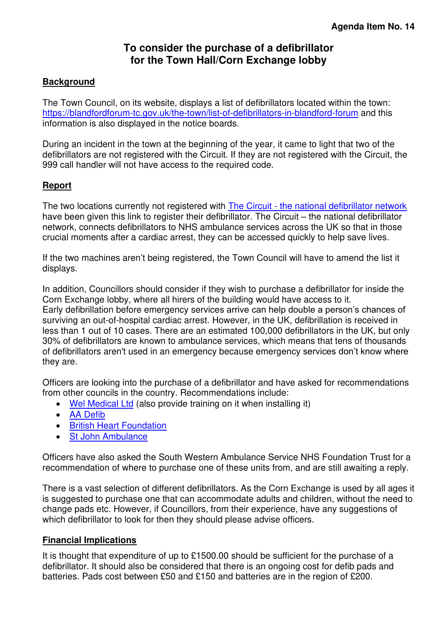# **To consider the purchase of a defibrillator for the Town Hall/Corn Exchange lobby**

#### <span id="page-12-0"></span>**Background**

The Town Council, on its website, displays a list of defibrillators located within the town: <https://blandfordforum-tc.gov.uk/the-town/list-of-defibrillators-in-blandford-forum>and this information is also displayed in the notice boards.

During an incident in the town at the beginning of the year, it came to light that two of the defibrillators are not registered with the Circuit. If they are not registered with the Circuit, the 999 call handler will not have access to the required code.

#### **Report**

The two locations currently not registered with [The Circuit - the national defibrillator network](https://www.thecircuit.uk/) have been given this link to register their defibrillator. The Circuit – the national defibrillator network, connects defibrillators to NHS ambulance services across the UK so that in those crucial moments after a cardiac arrest, they can be accessed quickly to help save lives.

If the two machines aren't being registered, the Town Council will have to amend the list it displays.

In addition, Councillors should consider if they wish to purchase a defibrillator for inside the Corn Exchange lobby, where all hirers of the building would have access to it. Early defibrillation before emergency services arrive can help double a person's chances of surviving an out-of-hospital cardiac arrest. However, in the UK, defibrillation is received in less than 1 out of 10 cases. There are an estimated 100,000 defibrillators in the UK, but only 30% of defibrillators are known to ambulance services, which means that tens of thousands of defibrillators aren't used in an emergency because emergency services don't know where they are.

Officers are looking into the purchase of a defibrillator and have asked for recommendations from other councils in the country. Recommendations include:

- [Wel Medical Ltd](https://shop.welmedical.com/) (also provide training on it when installing it)
- [AA Defib](https://www.aadefib.com/defribrillators/)
- [British Heart Foundation](https://giftshop.bhf.org.uk/defibrillators)
- [St John Ambulance](https://www.sja.org.uk/first-aid-supplies/defibrillators-accessories-and-training-models/?gclid=Cj0KCQiAu62QBhC7ARIsALXijXSH71bzo0B6NZee2Yfy_039QKbmd6sdKz9TkD85vGU9RVBlDdACeKcaAnALEALw_wcB&gclsrc=aw.ds)

Officers have also asked the South Western Ambulance Service NHS Foundation Trust for a recommendation of where to purchase one of these units from, and are still awaiting a reply.

There is a vast selection of different defibrillators. As the Corn Exchange is used by all ages it is suggested to purchase one that can accommodate adults and children, without the need to change pads etc. However, if Councillors, from their experience, have any suggestions of which defibrillator to look for then they should please advise officers.

#### **Financial Implications**

It is thought that expenditure of up to £1500.00 should be sufficient for the purchase of a defibrillator. It should also be considered that there is an ongoing cost for defib pads and batteries. Pads cost between £50 and £150 and batteries are in the region of £200.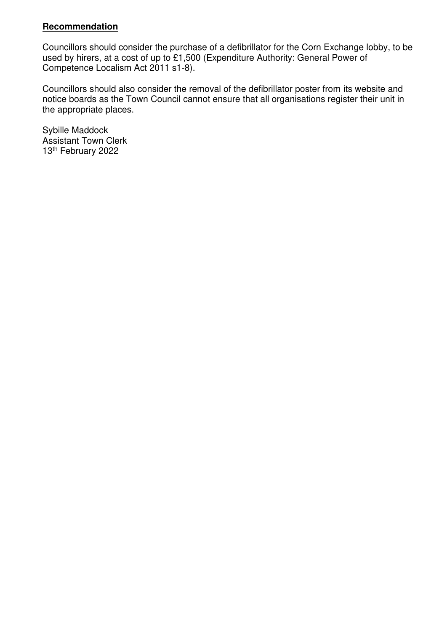#### **Recommendation**

Councillors should consider the purchase of a defibrillator for the Corn Exchange lobby, to be used by hirers, at a cost of up to £1,500 (Expenditure Authority: General Power of Competence Localism Act 2011 s1-8).

Councillors should also consider the removal of the defibrillator poster from its website and notice boards as the Town Council cannot ensure that all organisations register their unit in the appropriate places.

Sybille Maddock Assistant Town Clerk 13th February 2022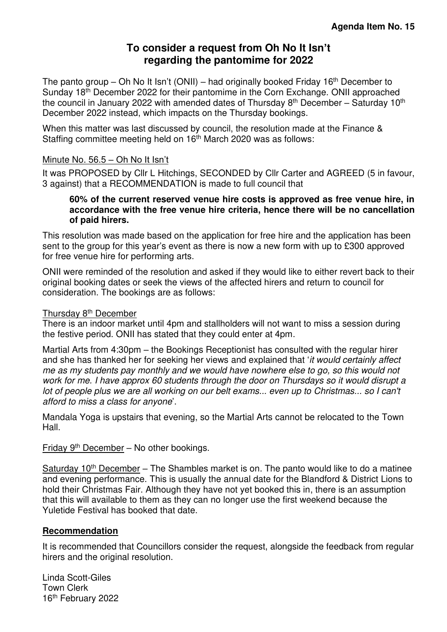# **To consider a request from Oh No It Isn't regarding the pantomime for 2022**

<span id="page-14-0"></span>The panto group – Oh No It Isn't (ONII) – had originally booked Friday 16<sup>th</sup> December to Sunday 18th December 2022 for their pantomime in the Corn Exchange. ONII approached the council in January 2022 with amended dates of Thursday  $8<sup>th</sup>$  December – Saturday 10<sup>th</sup> December 2022 instead, which impacts on the Thursday bookings.

When this matter was last discussed by council, the resolution made at the Finance & Staffing committee meeting held on  $16<sup>th</sup>$  March 2020 was as follows:

#### Minute No. 56.5 – Oh No It Isn't

It was PROPOSED by Cllr L Hitchings, SECONDED by Cllr Carter and AGREED (5 in favour, 3 against) that a RECOMMENDATION is made to full council that

#### **60% of the current reserved venue hire costs is approved as free venue hire, in accordance with the free venue hire criteria, hence there will be no cancellation of paid hirers.**

This resolution was made based on the application for free hire and the application has been sent to the group for this year's event as there is now a new form with up to £300 approved for free venue hire for performing arts.

ONII were reminded of the resolution and asked if they would like to either revert back to their original booking dates or seek the views of the affected hirers and return to council for consideration. The bookings are as follows:

#### Thursday 8<sup>th</sup> December

There is an indoor market until 4pm and stallholders will not want to miss a session during the festive period. ONII has stated that they could enter at 4pm.

Martial Arts from 4:30pm – the Bookings Receptionist has consulted with the regular hirer and she has thanked her for seeking her views and explained that 'it would certainly affect me as my students pay monthly and we would have nowhere else to go, so this would not work for me. I have approx 60 students through the door on Thursdays so it would disrupt a lot of people plus we are all working on our belt exams... even up to Christmas... so I can't afford to miss a class for anyone'.

Mandala Yoga is upstairs that evening, so the Martial Arts cannot be relocated to the Town Hall.

Friday 9th December – No other bookings.

Saturday  $10<sup>th</sup>$  December – The Shambles market is on. The panto would like to do a matinee and evening performance. This is usually the annual date for the Blandford & District Lions to hold their Christmas Fair. Although they have not yet booked this in, there is an assumption that this will available to them as they can no longer use the first weekend because the Yuletide Festival has booked that date.

#### **Recommendation**

It is recommended that Councillors consider the request, alongside the feedback from regular hirers and the original resolution.

Linda Scott-Giles Town Clerk 16th February 2022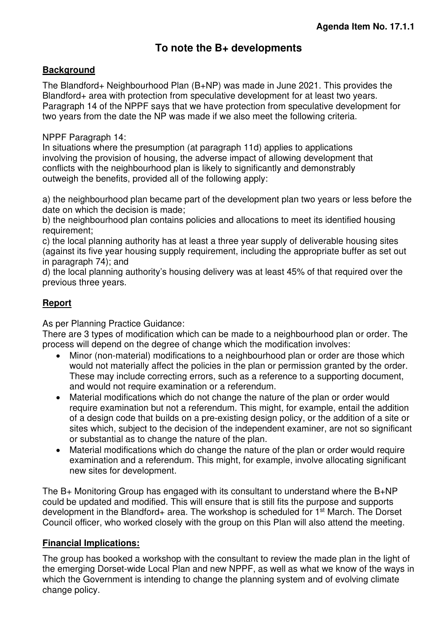# **To note the B+ developments**

#### <span id="page-15-0"></span>**Background**

The Blandford+ Neighbourhood Plan (B+NP) was made in June 2021. This provides the Blandford+ area with protection from speculative development for at least two years. Paragraph 14 of the NPPF says that we have protection from speculative development for two years from the date the NP was made if we also meet the following criteria.

#### NPPF Paragraph 14:

In situations where the presumption (at paragraph 11d) applies to applications involving the provision of housing, the adverse impact of allowing development that conflicts with the neighbourhood plan is likely to significantly and demonstrably outweigh the benefits, provided all of the following apply:

a) the neighbourhood plan became part of the development plan two years or less before the date on which the decision is made;

b) the neighbourhood plan contains policies and allocations to meet its identified housing requirement;

c) the local planning authority has at least a three year supply of deliverable housing sites (against its five year housing supply requirement, including the appropriate buffer as set out in paragraph 74); and

d) the local planning authority's housing delivery was at least 45% of that required over the previous three years.

#### **Report**

As per Planning Practice Guidance:

There are 3 types of modification which can be made to a neighbourhood plan or order. The process will depend on the degree of change which the modification involves:

- Minor (non-material) modifications to a neighbourhood plan or order are those which would not materially affect the policies in the plan or permission granted by the order. These may include correcting errors, such as a reference to a supporting document, and would not require examination or a referendum.
- Material modifications which do not change the nature of the plan or order would require examination but not a referendum. This might, for example, entail the addition of a design code that builds on a pre-existing design policy, or the addition of a site or sites which, subject to the decision of the independent examiner, are not so significant or substantial as to change the nature of the plan.
- Material modifications which do change the nature of the plan or order would require examination and a referendum. This might, for example, involve allocating significant new sites for development.

The B+ Monitoring Group has engaged with its consultant to understand where the B+NP could be updated and modified. This will ensure that is still fits the purpose and supports development in the Blandford+ area. The workshop is scheduled for 1<sup>st</sup> March. The Dorset Council officer, who worked closely with the group on this Plan will also attend the meeting.

#### **Financial Implications:**

The group has booked a workshop with the consultant to review the made plan in the light of the emerging Dorset-wide Local Plan and new NPPF, as well as what we know of the ways in which the Government is intending to change the planning system and of evolving climate change policy.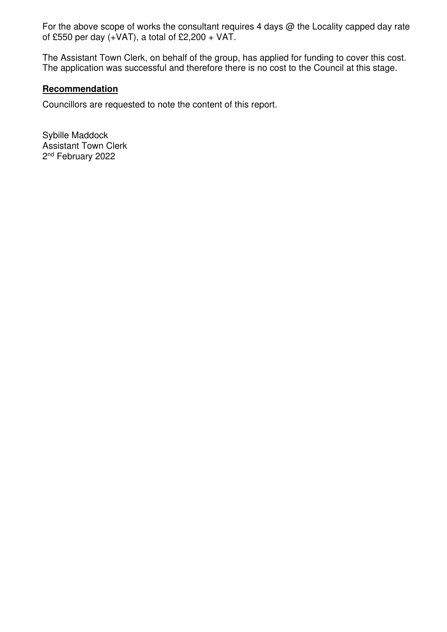For the above scope of works the consultant requires 4 days  $@$  the Locality capped day rate of £550 per day  $(+VAT)$ , a total of £2,200 + VAT.

The Assistant Town Clerk, on behalf of the group, has applied for funding to cover this cost. The application was successful and therefore there is no cost to the Council at this stage.

#### **Recommendation**

Councillors are requested to note the content of this report.

Sybille Maddock Assistant Town Clerk 2<sup>nd</sup> February 2022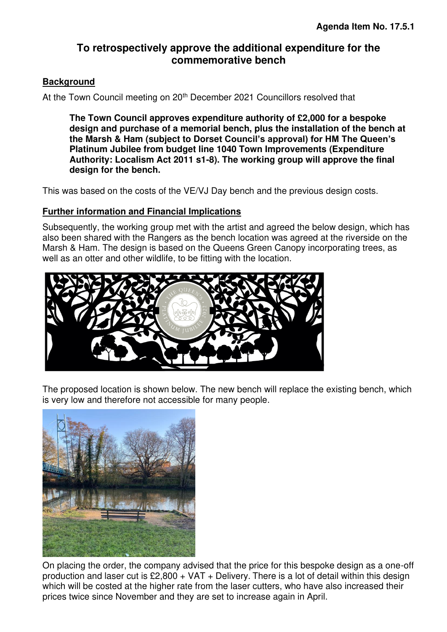# **To retrospectively approve the additional expenditure for the commemorative bench**

#### <span id="page-17-0"></span>**Background**

At the Town Council meeting on 20<sup>th</sup> December 2021 Councillors resolved that

**The Town Council approves expenditure authority of £2,000 for a bespoke design and purchase of a memorial bench, plus the installation of the bench at the Marsh & Ham (subject to Dorset Council's approval) for HM The Queen's Platinum Jubilee from budget line 1040 Town Improvements (Expenditure Authority: Localism Act 2011 s1-8). The working group will approve the final design for the bench.**

This was based on the costs of the VE/VJ Day bench and the previous design costs.

#### **Further information and Financial Implications**

Subsequently, the working group met with the artist and agreed the below design, which has also been shared with the Rangers as the bench location was agreed at the riverside on the Marsh & Ham. The design is based on the Queens Green Canopy incorporating trees, as well as an otter and other wildlife, to be fitting with the location.



The proposed location is shown below. The new bench will replace the existing bench, which is very low and therefore not accessible for many people.



On placing the order, the company advised that the price for this bespoke design as a one-off production and laser cut is  $£2,800 + VAT +$  Delivery. There is a lot of detail within this design which will be costed at the higher rate from the laser cutters, who have also increased their prices twice since November and they are set to increase again in April.